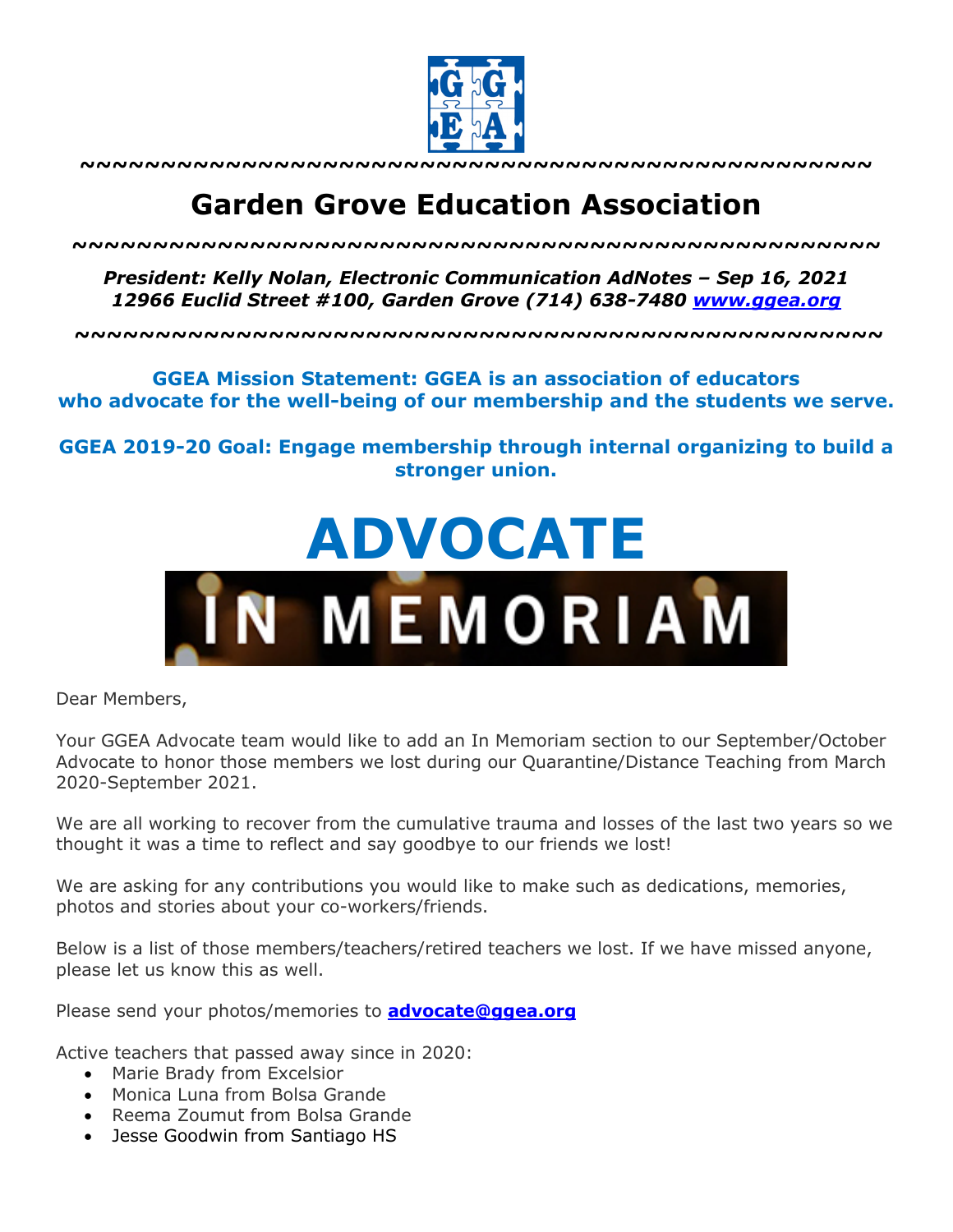

**~~~~~~~~~~~~~~~~~~~~~~~~~~~~~~~~~~~~~~~~~~~~~~~~~**

## **Garden Grove Education Association**

*~~~~~~~~~~~~~~~~~~~~~~~~~~~~~~~~~~~~~~~~~~~~~~~~~~*

*President: Kelly Nolan, Electronic Communication AdNotes – Sep 16, 2021 12966 Euclid Street #100, Garden Grove (714) 638-7480 www.ggea.org*

**~~~~~~~~~~~~~~~~~~~~~~~~~~~~~~~~~~~~~~~~~~~~~~~~~~**

## **GGEA Mission Statement: GGEA is an association of educators who advocate for the well-being of our membership and the students we serve.**

**GGEA 2019-20 Goal: Engage membership through internal organizing to build a stronger union.**



Dear Members,

Your GGEA Advocate team would like to add an In Memoriam section to our September/October Advocate to honor those members we lost during our Quarantine/Distance Teaching from March 2020-September 2021.

We are all working to recover from the cumulative trauma and losses of the last two years so we thought it was a time to reflect and say goodbye to our friends we lost!

We are asking for any contributions you would like to make such as dedications, memories, photos and stories about your co-workers/friends.

Below is a list of those members/teachers/retired teachers we lost. If we have missed anyone, please let us know this as well.

Please send your photos/memories to **advocate@ggea.org**

Active teachers that passed away since in 2020:

- Marie Brady from Excelsior
- Monica Luna from Bolsa Grande
- Reema Zoumut from Bolsa Grande
- Jesse Goodwin from Santiago HS